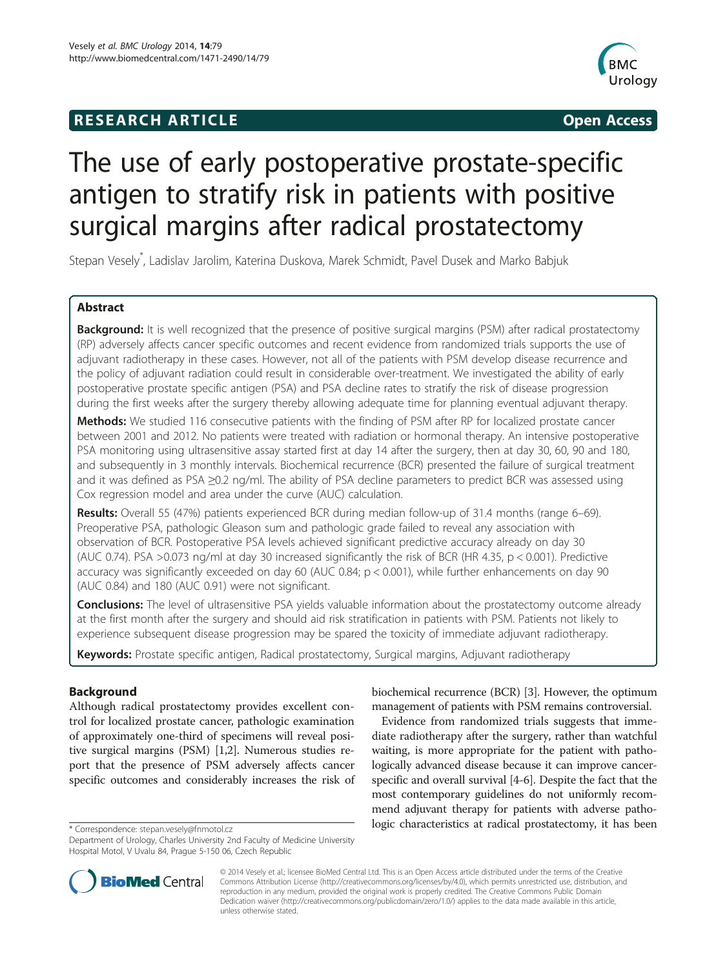## **RESEARCH ARTICLE Example 2014 CONSIDERING CONSIDERING CONSIDERING CONSIDERING CONSIDERING CONSIDERING CONSIDERING CONSIDERING CONSIDERING CONSIDERING CONSIDERING CONSIDERING CONSIDERING CONSIDERING CONSIDERING CONSIDE**



# The use of early postoperative prostate-specific antigen to stratify risk in patients with positive surgical margins after radical prostatectomy

Stepan Vesely\* , Ladislav Jarolim, Katerina Duskova, Marek Schmidt, Pavel Dusek and Marko Babjuk

## Abstract

Background: It is well recognized that the presence of positive surgical margins (PSM) after radical prostatectomy (RP) adversely affects cancer specific outcomes and recent evidence from randomized trials supports the use of adjuvant radiotherapy in these cases. However, not all of the patients with PSM develop disease recurrence and the policy of adjuvant radiation could result in considerable over-treatment. We investigated the ability of early postoperative prostate specific antigen (PSA) and PSA decline rates to stratify the risk of disease progression during the first weeks after the surgery thereby allowing adequate time for planning eventual adjuvant therapy.

Methods: We studied 116 consecutive patients with the finding of PSM after RP for localized prostate cancer between 2001 and 2012. No patients were treated with radiation or hormonal therapy. An intensive postoperative PSA monitoring using ultrasensitive assay started first at day 14 after the surgery, then at day 30, 60, 90 and 180, and subsequently in 3 monthly intervals. Biochemical recurrence (BCR) presented the failure of surgical treatment and it was defined as PSA ≥0.2 ng/ml. The ability of PSA decline parameters to predict BCR was assessed using Cox regression model and area under the curve (AUC) calculation.

Results: Overall 55 (47%) patients experienced BCR during median follow-up of 31.4 months (range 6–69). Preoperative PSA, pathologic Gleason sum and pathologic grade failed to reveal any association with observation of BCR. Postoperative PSA levels achieved significant predictive accuracy already on day 30 (AUC 0.74). PSA >0.073 ng/ml at day 30 increased significantly the risk of BCR (HR 4.35,  $p < 0.001$ ). Predictive accuracy was significantly exceeded on day 60 (AUC  $0.84$ ;  $p < 0.001$ ), while further enhancements on day 90 (AUC 0.84) and 180 (AUC 0.91) were not significant.

Conclusions: The level of ultrasensitive PSA yields valuable information about the prostatectomy outcome already at the first month after the surgery and should aid risk stratification in patients with PSM. Patients not likely to experience subsequent disease progression may be spared the toxicity of immediate adjuvant radiotherapy.

Keywords: Prostate specific antigen, Radical prostatectomy, Surgical margins, Adjuvant radiotherapy

## Background

Although radical prostatectomy provides excellent control for localized prostate cancer, pathologic examination of approximately one-third of specimens will reveal positive surgical margins (PSM) [\[1,2](#page-5-0)]. Numerous studies report that the presence of PSM adversely affects cancer specific outcomes and considerably increases the risk of



Evidence from randomized trials suggests that immediate radiotherapy after the surgery, rather than watchful waiting, is more appropriate for the patient with pathologically advanced disease because it can improve cancerspecific and overall survival [[4-6](#page-5-0)]. Despite the fact that the most contemporary guidelines do not uniformly recommend adjuvant therapy for patients with adverse patho\* Correspondence: [stepan.vesely@fnmotol.cz](mailto:stepan.vesely@fnmotol.cz) been between the bagic characteristics at radical prostatectomy, it has been



© 2014 Vesely et al.; licensee BioMed Central Ltd. This is an Open Access article distributed under the terms of the Creative Commons Attribution License [\(http://creativecommons.org/licenses/by/4.0\)](http://creativecommons.org/licenses/by/4.0), which permits unrestricted use, distribution, and reproduction in any medium, provided the original work is properly credited. The Creative Commons Public Domain Dedication waiver [\(http://creativecommons.org/publicdomain/zero/1.0/](http://creativecommons.org/publicdomain/zero/1.0/)) applies to the data made available in this article, unless otherwise stated.

Department of Urology, Charles University 2nd Faculty of Medicine University Hospital Motol, V Uvalu 84, Prague 5-150 06, Czech Republic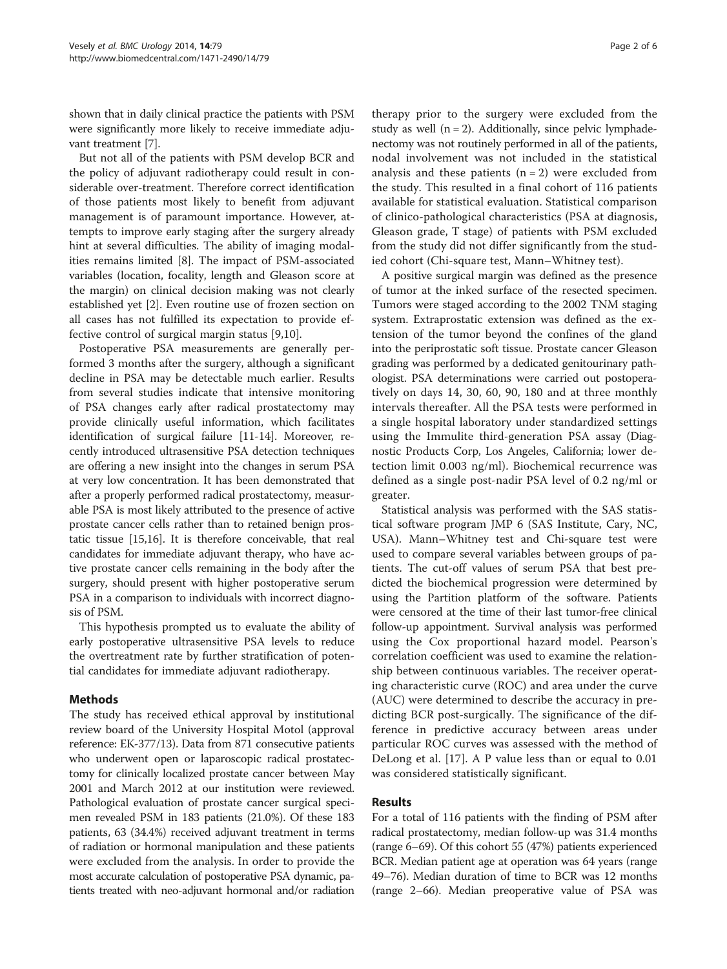shown that in daily clinical practice the patients with PSM were significantly more likely to receive immediate adjuvant treatment [\[7](#page-5-0)].

But not all of the patients with PSM develop BCR and the policy of adjuvant radiotherapy could result in considerable over-treatment. Therefore correct identification of those patients most likely to benefit from adjuvant management is of paramount importance. However, attempts to improve early staging after the surgery already hint at several difficulties. The ability of imaging modalities remains limited [[8\]](#page-5-0). The impact of PSM-associated variables (location, focality, length and Gleason score at the margin) on clinical decision making was not clearly established yet [[2\]](#page-5-0). Even routine use of frozen section on all cases has not fulfilled its expectation to provide effective control of surgical margin status [\[9,10](#page-5-0)].

Postoperative PSA measurements are generally performed 3 months after the surgery, although a significant decline in PSA may be detectable much earlier. Results from several studies indicate that intensive monitoring of PSA changes early after radical prostatectomy may provide clinically useful information, which facilitates identification of surgical failure [\[11-14\]](#page-5-0). Moreover, recently introduced ultrasensitive PSA detection techniques are offering a new insight into the changes in serum PSA at very low concentration. It has been demonstrated that after a properly performed radical prostatectomy, measurable PSA is most likely attributed to the presence of active prostate cancer cells rather than to retained benign prostatic tissue [[15,16](#page-5-0)]. It is therefore conceivable, that real candidates for immediate adjuvant therapy, who have active prostate cancer cells remaining in the body after the surgery, should present with higher postoperative serum PSA in a comparison to individuals with incorrect diagnosis of PSM.

This hypothesis prompted us to evaluate the ability of early postoperative ultrasensitive PSA levels to reduce the overtreatment rate by further stratification of potential candidates for immediate adjuvant radiotherapy.

## Methods

The study has received ethical approval by institutional review board of the University Hospital Motol (approval reference: EK-377/13). Data from 871 consecutive patients who underwent open or laparoscopic radical prostatectomy for clinically localized prostate cancer between May 2001 and March 2012 at our institution were reviewed. Pathological evaluation of prostate cancer surgical specimen revealed PSM in 183 patients (21.0%). Of these 183 patients, 63 (34.4%) received adjuvant treatment in terms of radiation or hormonal manipulation and these patients were excluded from the analysis. In order to provide the most accurate calculation of postoperative PSA dynamic, patients treated with neo-adjuvant hormonal and/or radiation

therapy prior to the surgery were excluded from the study as well  $(n = 2)$ . Additionally, since pelvic lymphadenectomy was not routinely performed in all of the patients, nodal involvement was not included in the statistical analysis and these patients  $(n = 2)$  were excluded from the study. This resulted in a final cohort of 116 patients available for statistical evaluation. Statistical comparison of clinico-pathological characteristics (PSA at diagnosis, Gleason grade, T stage) of patients with PSM excluded from the study did not differ significantly from the studied cohort (Chi-square test, Mann–Whitney test).

A positive surgical margin was defined as the presence of tumor at the inked surface of the resected specimen. Tumors were staged according to the 2002 TNM staging system. Extraprostatic extension was defined as the extension of the tumor beyond the confines of the gland into the periprostatic soft tissue. Prostate cancer Gleason grading was performed by a dedicated genitourinary pathologist. PSA determinations were carried out postoperatively on days 14, 30, 60, 90, 180 and at three monthly intervals thereafter. All the PSA tests were performed in a single hospital laboratory under standardized settings using the Immulite third-generation PSA assay (Diagnostic Products Corp, Los Angeles, California; lower detection limit 0.003 ng/ml). Biochemical recurrence was defined as a single post-nadir PSA level of 0.2 ng/ml or greater.

Statistical analysis was performed with the SAS statistical software program JMP 6 (SAS Institute, Cary, NC, USA). Mann–Whitney test and Chi-square test were used to compare several variables between groups of patients. The cut-off values of serum PSA that best predicted the biochemical progression were determined by using the Partition platform of the software. Patients were censored at the time of their last tumor-free clinical follow-up appointment. Survival analysis was performed using the Cox proportional hazard model. Pearson's correlation coefficient was used to examine the relationship between continuous variables. The receiver operating characteristic curve (ROC) and area under the curve (AUC) were determined to describe the accuracy in predicting BCR post-surgically. The significance of the difference in predictive accuracy between areas under particular ROC curves was assessed with the method of DeLong et al. [[17\]](#page-5-0). A P value less than or equal to 0.01 was considered statistically significant.

## Results

For a total of 116 patients with the finding of PSM after radical prostatectomy, median follow-up was 31.4 months (range 6–69). Of this cohort 55 (47%) patients experienced BCR. Median patient age at operation was 64 years (range 49–76). Median duration of time to BCR was 12 months (range 2–66). Median preoperative value of PSA was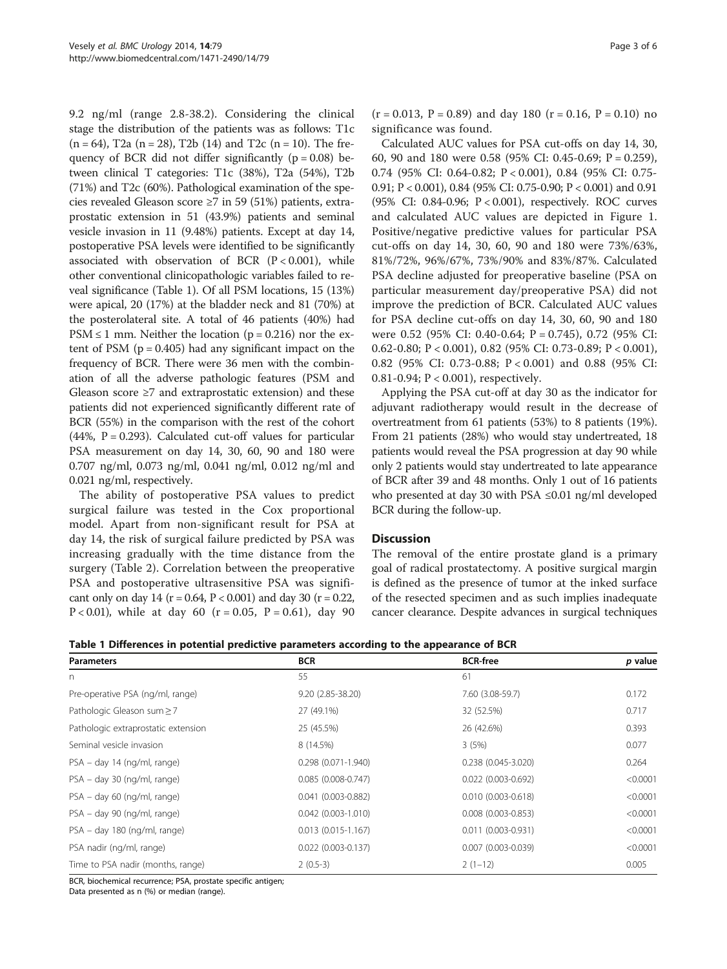9.2 ng/ml (range 2.8-38.2). Considering the clinical stage the distribution of the patients was as follows: T1c  $(n = 64)$ , T2a  $(n = 28)$ , T2b  $(14)$  and T2c  $(n = 10)$ . The frequency of BCR did not differ significantly  $(p = 0.08)$  between clinical T categories: T1c (38%), T2a (54%), T2b (71%) and T2c (60%). Pathological examination of the species revealed Gleason score ≥7 in 59 (51%) patients, extraprostatic extension in 51 (43.9%) patients and seminal vesicle invasion in 11 (9.48%) patients. Except at day 14, postoperative PSA levels were identified to be significantly associated with observation of BCR  $(P < 0.001)$ , while other conventional clinicopathologic variables failed to reveal significance (Table 1). Of all PSM locations, 15 (13%) were apical, 20 (17%) at the bladder neck and 81 (70%) at the posterolateral site. A total of 46 patients (40%) had  $PSM \leq 1$  mm. Neither the location ( $p = 0.216$ ) nor the extent of PSM ( $p = 0.405$ ) had any significant impact on the frequency of BCR. There were 36 men with the combination of all the adverse pathologic features (PSM and Gleason score  $\geq 7$  and extraprostatic extension) and these patients did not experienced significantly different rate of BCR (55%) in the comparison with the rest of the cohort  $(44\%, P = 0.293)$ . Calculated cut-off values for particular PSA measurement on day 14, 30, 60, 90 and 180 were 0.707 ng/ml, 0.073 ng/ml, 0.041 ng/ml, 0.012 ng/ml and 0.021 ng/ml, respectively.

The ability of postoperative PSA values to predict surgical failure was tested in the Cox proportional model. Apart from non-significant result for PSA at day 14, the risk of surgical failure predicted by PSA was increasing gradually with the time distance from the surgery (Table [2\)](#page-3-0). Correlation between the preoperative PSA and postoperative ultrasensitive PSA was significant only on day 14 ( $r = 0.64$ ,  $P < 0.001$ ) and day 30 ( $r = 0.22$ , P < 0.01), while at day 60 ( $r = 0.05$ , P = 0.61), day 90

 $(r = 0.013, P = 0.89)$  and day 180  $(r = 0.16, P = 0.10)$  no significance was found.

Calculated AUC values for PSA cut-offs on day 14, 30, 60, 90 and 180 were 0.58 (95% CI: 0.45-0.69; P = 0.259), 0.74 (95% CI: 0.64-0.82; P < 0.001), 0.84 (95% CI: 0.75- 0.91; P < 0.001), 0.84 (95% CI: 0.75-0.90; P < 0.001) and 0.91 (95% CI: 0.84-0.96; P < 0.001), respectively. ROC curves and calculated AUC values are depicted in Figure [1](#page-3-0). Positive/negative predictive values for particular PSA cut-offs on day 14, 30, 60, 90 and 180 were 73%/63%, 81%/72%, 96%/67%, 73%/90% and 83%/87%. Calculated PSA decline adjusted for preoperative baseline (PSA on particular measurement day/preoperative PSA) did not improve the prediction of BCR. Calculated AUC values for PSA decline cut-offs on day 14, 30, 60, 90 and 180 were 0.52 (95% CI: 0.40-0.64; P = 0.745), 0.72 (95% CI: 0.62-0.80; P < 0.001), 0.82 (95% CI: 0.73-0.89; P < 0.001), 0.82 (95% CI: 0.73-0.88; P < 0.001) and 0.88 (95% CI: 0.81-0.94; P < 0.001), respectively.

Applying the PSA cut-off at day 30 as the indicator for adjuvant radiotherapy would result in the decrease of overtreatment from 61 patients (53%) to 8 patients (19%). From 21 patients (28%) who would stay undertreated, 18 patients would reveal the PSA progression at day 90 while only 2 patients would stay undertreated to late appearance of BCR after 39 and 48 months. Only 1 out of 16 patients who presented at day 30 with PSA ≤0.01 ng/ml developed BCR during the follow-up.

#### **Discussion**

The removal of the entire prostate gland is a primary goal of radical prostatectomy. A positive surgical margin is defined as the presence of tumor at the inked surface of the resected specimen and as such implies inadequate cancer clearance. Despite advances in surgical techniques

|  |  |  |  |  |  |  | Table 1 Differences in potential predictive parameters according to the appearance of BCR |  |
|--|--|--|--|--|--|--|-------------------------------------------------------------------------------------------|--|
|--|--|--|--|--|--|--|-------------------------------------------------------------------------------------------|--|

| <b>Parameters</b>                   | <b>BCR</b>                | <b>BCR-free</b>           | p value  |
|-------------------------------------|---------------------------|---------------------------|----------|
| n                                   | 55                        | 61                        |          |
| Pre-operative PSA (ng/ml, range)    | 9.20 (2.85-38.20)         | 7.60 (3.08-59.7)          | 0.172    |
| Pathologic Gleason sum ≥ 7          | 27 (49.1%)                | 32 (52.5%)                | 0.717    |
| Pathologic extraprostatic extension | 25 (45.5%)                | 26 (42.6%)                | 0.393    |
| Seminal vesicle invasion            | 8 (14.5%)                 | 3(5%)                     | 0.077    |
| PSA – day 14 (ng/ml, range)         | 0.298 (0.071-1.940)       | $0.238(0.045 - 3.020)$    | 0.264    |
| PSA - day 30 (ng/ml, range)         | $0.085(0.008 - 0.747)$    | $0.022$ (0.003-0.692)     | < 0.0001 |
| PSA – day 60 (ng/ml, range)         | $0.041$ (0.003-0.882)     | $0.010(0.003 - 0.618)$    | < 0.0001 |
| PSA - day 90 (ng/ml, range)         | $0.042$ $(0.003 - 1.010)$ | $0.008$ $(0.003 - 0.853)$ | < 0.0001 |
| PSA - day 180 (ng/ml, range)        | $0.013$ (0.015-1.167)     | $0.011$ $(0.003 - 0.931)$ | < 0.0001 |
| PSA nadir (ng/ml, range)            | $0.022$ (0.003-0.137)     | $0.007$ (0.003-0.039)     | < 0.0001 |
| Time to PSA nadir (months, range)   | $2(0.5-3)$                | $2(1-12)$                 | 0.005    |

BCR, biochemical recurrence; PSA, prostate specific antigen;

Data presented as n (%) or median (range).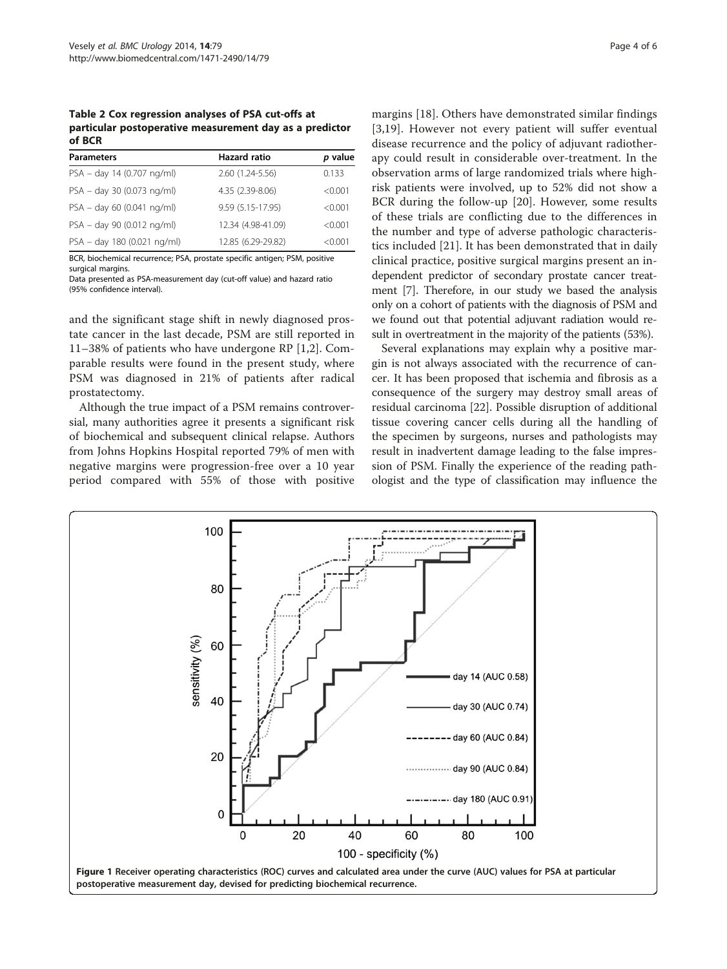<span id="page-3-0"></span>Table 2 Cox regression analyses of PSA cut-offs at particular postoperative measurement day as a predictor of BCR

| <b>Parameters</b>           | <b>Hazard ratio</b> | p value |
|-----------------------------|---------------------|---------|
| PSA - day 14 (0.707 ng/ml)  | 2.60 (1.24-5.56)    | 0.133   |
| PSA - day 30 (0.073 ng/ml)  | 4.35 (2.39-8.06)    | < 0.001 |
| PSA - day 60 (0.041 ng/ml)  | 9.59 (5.15-17.95)   | < 0.001 |
| PSA - day 90 (0.012 ng/ml)  | 12.34 (4.98-41.09)  | < 0.001 |
| PSA - day 180 (0.021 ng/ml) | 12.85 (6.29-29.82)  | < 0.001 |

BCR, biochemical recurrence; PSA, prostate specific antigen; PSM, positive surgical margins.

Data presented as PSA-measurement day (cut-off value) and hazard ratio (95% confidence interval).

and the significant stage shift in newly diagnosed prostate cancer in the last decade, PSM are still reported in 11–38% of patients who have undergone RP [\[1,2](#page-5-0)]. Comparable results were found in the present study, where PSM was diagnosed in 21% of patients after radical prostatectomy.

Although the true impact of a PSM remains controversial, many authorities agree it presents a significant risk of biochemical and subsequent clinical relapse. Authors from Johns Hopkins Hospital reported 79% of men with negative margins were progression-free over a 10 year period compared with 55% of those with positive

margins [[18\]](#page-5-0). Others have demonstrated similar findings [[3,19](#page-5-0)]. However not every patient will suffer eventual disease recurrence and the policy of adjuvant radiotherapy could result in considerable over-treatment. In the observation arms of large randomized trials where highrisk patients were involved, up to 52% did not show a BCR during the follow-up [\[20](#page-5-0)]. However, some results of these trials are conflicting due to the differences in the number and type of adverse pathologic characteristics included [\[21](#page-5-0)]. It has been demonstrated that in daily clinical practice, positive surgical margins present an independent predictor of secondary prostate cancer treatment [[7\]](#page-5-0). Therefore, in our study we based the analysis only on a cohort of patients with the diagnosis of PSM and we found out that potential adjuvant radiation would result in overtreatment in the majority of the patients (53%).

Several explanations may explain why a positive margin is not always associated with the recurrence of cancer. It has been proposed that ischemia and fibrosis as a consequence of the surgery may destroy small areas of residual carcinoma [\[22](#page-5-0)]. Possible disruption of additional tissue covering cancer cells during all the handling of the specimen by surgeons, nurses and pathologists may result in inadvertent damage leading to the false impression of PSM. Finally the experience of the reading pathologist and the type of classification may influence the

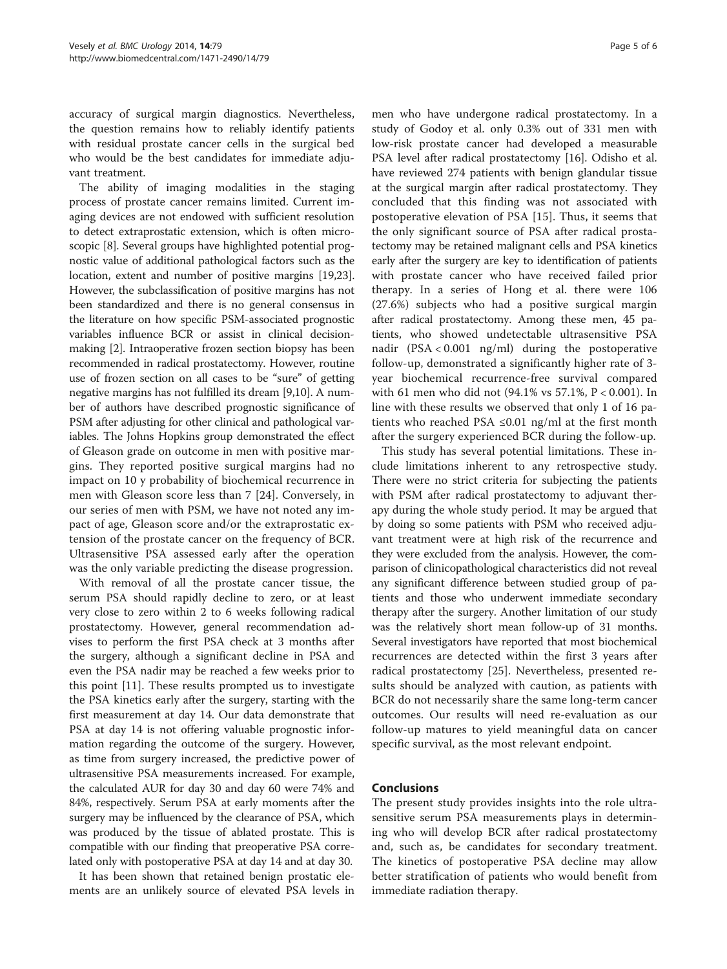accuracy of surgical margin diagnostics. Nevertheless, the question remains how to reliably identify patients with residual prostate cancer cells in the surgical bed who would be the best candidates for immediate adjuvant treatment.

The ability of imaging modalities in the staging process of prostate cancer remains limited. Current imaging devices are not endowed with sufficient resolution to detect extraprostatic extension, which is often microscopic [[8](#page-5-0)]. Several groups have highlighted potential prognostic value of additional pathological factors such as the location, extent and number of positive margins [\[19,23](#page-5-0)]. However, the subclassification of positive margins has not been standardized and there is no general consensus in the literature on how specific PSM-associated prognostic variables influence BCR or assist in clinical decisionmaking [[2\]](#page-5-0). Intraoperative frozen section biopsy has been recommended in radical prostatectomy. However, routine use of frozen section on all cases to be "sure" of getting negative margins has not fulfilled its dream [[9,10](#page-5-0)]. A number of authors have described prognostic significance of PSM after adjusting for other clinical and pathological variables. The Johns Hopkins group demonstrated the effect of Gleason grade on outcome in men with positive margins. They reported positive surgical margins had no impact on 10 y probability of biochemical recurrence in men with Gleason score less than 7 [[24\]](#page-5-0). Conversely, in our series of men with PSM, we have not noted any impact of age, Gleason score and/or the extraprostatic extension of the prostate cancer on the frequency of BCR. Ultrasensitive PSA assessed early after the operation was the only variable predicting the disease progression.

With removal of all the prostate cancer tissue, the serum PSA should rapidly decline to zero, or at least very close to zero within 2 to 6 weeks following radical prostatectomy. However, general recommendation advises to perform the first PSA check at 3 months after the surgery, although a significant decline in PSA and even the PSA nadir may be reached a few weeks prior to this point [\[11\]](#page-5-0). These results prompted us to investigate the PSA kinetics early after the surgery, starting with the first measurement at day 14. Our data demonstrate that PSA at day 14 is not offering valuable prognostic information regarding the outcome of the surgery. However, as time from surgery increased, the predictive power of ultrasensitive PSA measurements increased. For example, the calculated AUR for day 30 and day 60 were 74% and 84%, respectively. Serum PSA at early moments after the surgery may be influenced by the clearance of PSA, which was produced by the tissue of ablated prostate. This is compatible with our finding that preoperative PSA correlated only with postoperative PSA at day 14 and at day 30.

It has been shown that retained benign prostatic elements are an unlikely source of elevated PSA levels in

men who have undergone radical prostatectomy. In a study of Godoy et al. only 0.3% out of 331 men with low-risk prostate cancer had developed a measurable PSA level after radical prostatectomy [\[16\]](#page-5-0). Odisho et al. have reviewed 274 patients with benign glandular tissue at the surgical margin after radical prostatectomy. They concluded that this finding was not associated with postoperative elevation of PSA [[15\]](#page-5-0). Thus, it seems that the only significant source of PSA after radical prostatectomy may be retained malignant cells and PSA kinetics early after the surgery are key to identification of patients with prostate cancer who have received failed prior therapy. In a series of Hong et al. there were 106 (27.6%) subjects who had a positive surgical margin after radical prostatectomy. Among these men, 45 patients, who showed undetectable ultrasensitive PSA nadir (PSA < 0.001 ng/ml) during the postoperative follow-up, demonstrated a significantly higher rate of 3 year biochemical recurrence-free survival compared with 61 men who did not (94.1% vs 57.1%, P < 0.001). In line with these results we observed that only 1 of 16 patients who reached PSA  $\leq 0.01$  ng/ml at the first month after the surgery experienced BCR during the follow-up.

This study has several potential limitations. These include limitations inherent to any retrospective study. There were no strict criteria for subjecting the patients with PSM after radical prostatectomy to adjuvant therapy during the whole study period. It may be argued that by doing so some patients with PSM who received adjuvant treatment were at high risk of the recurrence and they were excluded from the analysis. However, the comparison of clinicopathological characteristics did not reveal any significant difference between studied group of patients and those who underwent immediate secondary therapy after the surgery. Another limitation of our study was the relatively short mean follow-up of 31 months. Several investigators have reported that most biochemical recurrences are detected within the first 3 years after radical prostatectomy [\[25](#page-5-0)]. Nevertheless, presented results should be analyzed with caution, as patients with BCR do not necessarily share the same long-term cancer outcomes. Our results will need re-evaluation as our follow-up matures to yield meaningful data on cancer specific survival, as the most relevant endpoint.

## Conclusions

The present study provides insights into the role ultrasensitive serum PSA measurements plays in determining who will develop BCR after radical prostatectomy and, such as, be candidates for secondary treatment. The kinetics of postoperative PSA decline may allow better stratification of patients who would benefit from immediate radiation therapy.